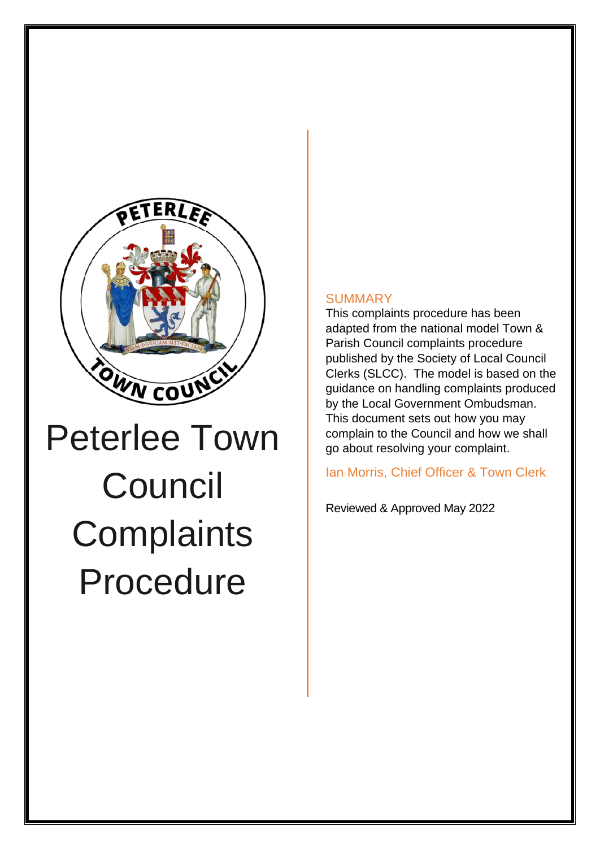

## Peterlee Town **Council Complaints** Procedure

## **SUMMARY**

This complaints procedure has been adapted from the national model Town & Parish Council complaints procedure published by the Society of Local Council Clerks (SLCC). The model is based on the guidance on handling complaints produced by the Local Government Ombudsman. This document sets out how you may complain to the Council and how we shall go about resolving your complaint.

Ian Morris, Chief Officer & Town Clerk

Reviewed & Approved May 2022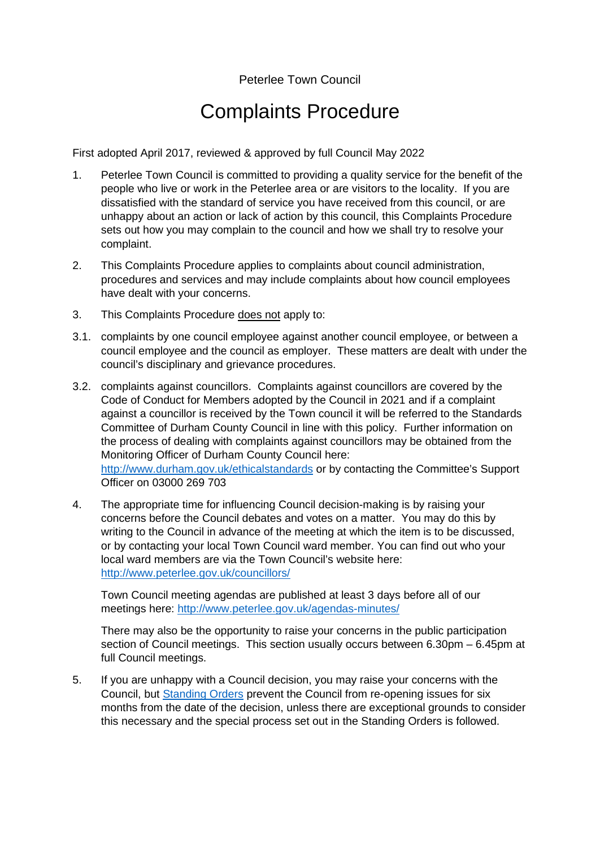## Peterlee Town Council

## Complaints Procedure

First adopted April 2017, reviewed & approved by full Council May 2022

- 1. Peterlee Town Council is committed to providing a quality service for the benefit of the people who live or work in the Peterlee area or are visitors to the locality. If you are dissatisfied with the standard of service you have received from this council, or are unhappy about an action or lack of action by this council, this Complaints Procedure sets out how you may complain to the council and how we shall try to resolve your complaint.
- 2. This Complaints Procedure applies to complaints about council administration, procedures and services and may include complaints about how council employees have dealt with your concerns.
- 3. This Complaints Procedure does not apply to:
- 3.1. complaints by one council employee against another council employee, or between a council employee and the council as employer. These matters are dealt with under the council's disciplinary and grievance procedures.
- 3.2. complaints against councillors. Complaints against councillors are covered by the Code of Conduct for Members adopted by the Council in 2021 and if a complaint against a councillor is received by the Town council it will be referred to the Standards Committee of Durham County Council in line with this policy. Further information on the process of dealing with complaints against councillors may be obtained from the Monitoring Officer of Durham County Council here: <http://www.durham.gov.uk/ethicalstandards>or by contacting the Committee's Support Officer on 03000 269 703
- 4. The appropriate time for influencing Council decision-making is by raising your concerns before the Council debates and votes on a matter. You may do this by writing to the Council in advance of the meeting at which the item is to be discussed, or by contacting your local Town Council ward member. You can find out who your local ward members are via the Town Council's website here: <http://www.peterlee.gov.uk/councillors/>

Town Council meeting agendas are published at least 3 days before all of our meetings here:<http://www.peterlee.gov.uk/agendas-minutes/>

There may also be the opportunity to raise your concerns in the public participation section of Council meetings. This section usually occurs between 6.30pm – 6.45pm at full Council meetings.

5. If you are unhappy with a Council decision, you may raise your concerns with the Council, but [Standing Orders](http://www.peterlee.gov.uk/wp-content/uploads/sites/37/2016/10/standing-orders-may-14-v2.pdf) prevent the Council from re-opening issues for six months from the date of the decision, unless there are exceptional grounds to consider this necessary and the special process set out in the Standing Orders is followed.